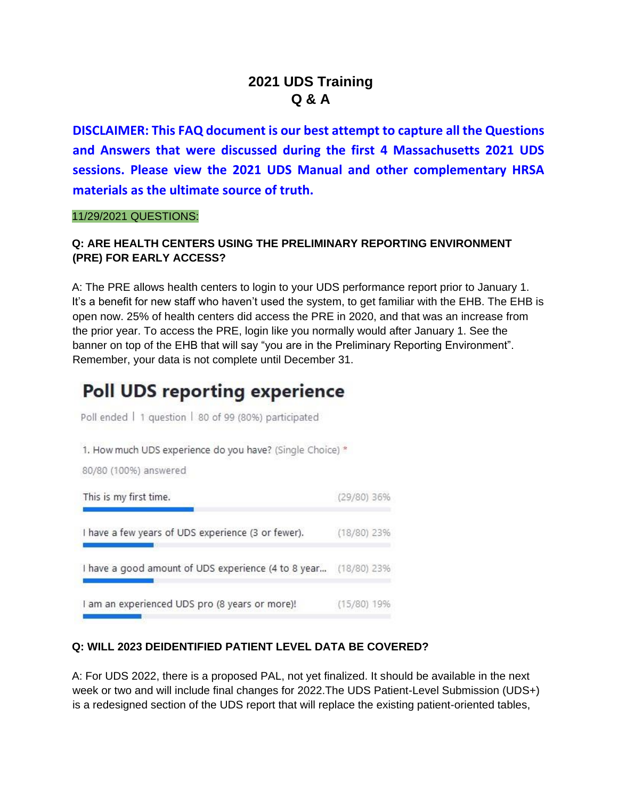## **2021 UDS Training Q & A**

**DISCLAIMER: This FAQ document is our best attempt to capture all the Questions and Answers that were discussed during the first 4 Massachusetts 2021 UDS sessions. Please view the 2021 UDS Manual and other complementary HRSA materials as the ultimate source of truth.** 

11/29/2021 QUESTIONS:

#### **Q: ARE HEALTH CENTERS USING THE PRELIMINARY REPORTING ENVIRONMENT (PRE) FOR EARLY ACCESS?**

A: The PRE allows health centers to login to your UDS performance report prior to January 1. It's a benefit for new staff who haven't used the system, to get familiar with the EHB. The EHB is open now. 25% of health centers did access the PRE in 2020, and that was an increase from the prior year. To access the PRE, login like you normally would after January 1. See the banner on top of the EHB that will say "you are in the Preliminary Reporting Environment". Remember, your data is not complete until December 31.

# **Poll UDS reporting experience**

Poll ended | 1 question | 80 of 99 (80%) participated

1. How much UDS experience do you have? (Single Choice) \*

80/80 (100%) answered



#### **Q: WILL 2023 DEIDENTIFIED PATIENT LEVEL DATA BE COVERED?**

A: For UDS 2022, there is a proposed PAL, not yet finalized. It should be available in the next week or two and will include final changes for 2022.The UDS Patient-Level Submission (UDS+) is a redesigned section of the UDS report that will replace the existing patient-oriented tables,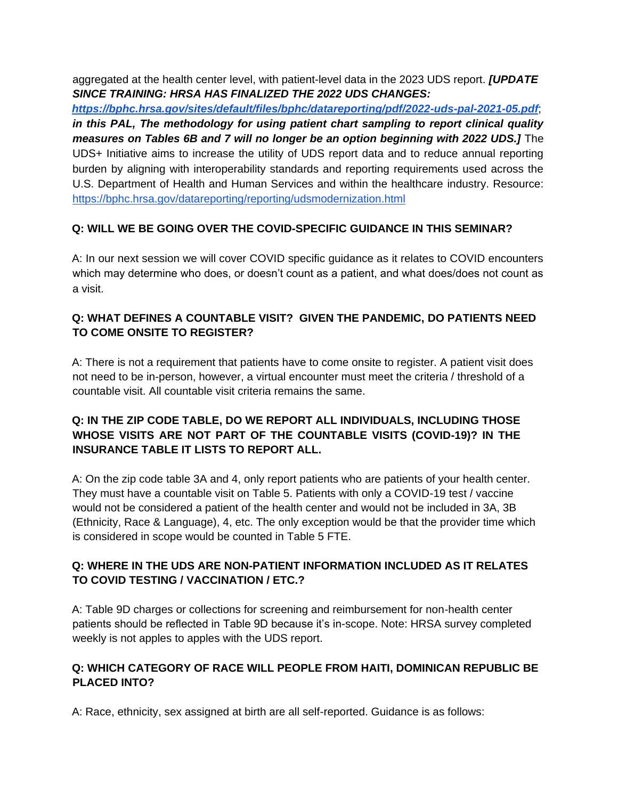aggregated at the health center level, with patient-level data in the 2023 UDS report. *[UPDATE SINCE TRAINING: HRSA HAS FINALIZED THE 2022 UDS CHANGES:* 

*<https://bphc.hrsa.gov/sites/default/files/bphc/datareporting/pdf/2022-uds-pal-2021-05.pdf>*[;](https://bphc.hrsa.gov/sites/default/files/bphc/datareporting/pdf/2022-uds-pal-2021-05.pdf) *in this PAL, The methodology for using patient chart sampling to report clinical quality measures on Tables 6B and 7 will no longer be an option beginning with 2022 UDS.]* The UDS+ Initiative aims to increase the utility of UDS report data and to reduce annual reporting burden by aligning with interoperability standards and reporting requirements used across the U.S. Department of Health and Human Services and within the healthcare industry. Resource: <https://bphc.hrsa.gov/datareporting/reporting/udsmodernization.html>

### **Q: WILL WE BE GOING OVER THE COVID-SPECIFIC GUIDANCE IN THIS SEMINAR?**

A: In our next session we will cover COVID specific guidance as it relates to COVID encounters which may determine who does, or doesn't count as a patient, and what does/does not count as a visit.

### **Q: WHAT DEFINES A COUNTABLE VISIT? GIVEN THE PANDEMIC, DO PATIENTS NEED TO COME ONSITE TO REGISTER?**

A: There is not a requirement that patients have to come onsite to register. A patient visit does not need to be in-person, however, a virtual encounter must meet the criteria / threshold of a countable visit. All countable visit criteria remains the same.

### **Q: IN THE ZIP CODE TABLE, DO WE REPORT ALL INDIVIDUALS, INCLUDING THOSE WHOSE VISITS ARE NOT PART OF THE COUNTABLE VISITS (COVID-19)? IN THE INSURANCE TABLE IT LISTS TO REPORT ALL.**

A: On the zip code table 3A and 4, only report patients who are patients of your health center. They must have a countable visit on Table 5. Patients with only a COVID-19 test / vaccine would not be considered a patient of the health center and would not be included in 3A, 3B (Ethnicity, Race & Language), 4, etc. The only exception would be that the provider time which is considered in scope would be counted in Table 5 FTE.

#### **Q: WHERE IN THE UDS ARE NON-PATIENT INFORMATION INCLUDED AS IT RELATES TO COVID TESTING / VACCINATION / ETC.?**

A: Table 9D charges or collections for screening and reimbursement for non-health center patients should be reflected in Table 9D because it's in-scope. Note: HRSA survey completed weekly is not apples to apples with the UDS report.

#### **Q: WHICH CATEGORY OF RACE WILL PEOPLE FROM HAITI, DOMINICAN REPUBLIC BE PLACED INTO?**

A: Race, ethnicity, sex assigned at birth are all self-reported. Guidance is as follows: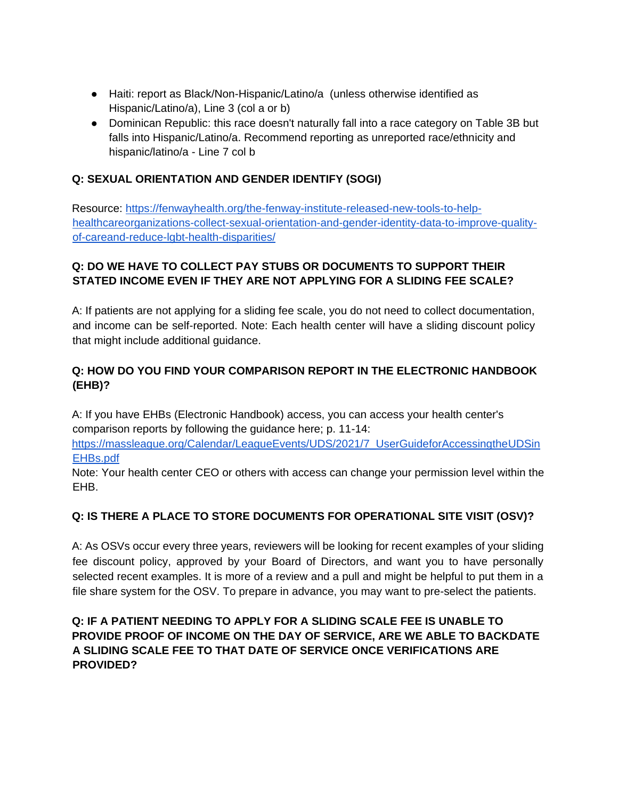- Haiti: report as Black/Non-Hispanic/Latino/a (unless otherwise identified as Hispanic/Latino/a), Line 3 (col a or b)
- Dominican Republic: this race doesn't naturally fall into a race category on Table 3B but falls into Hispanic/Latino/a. Recommend reporting as unreported race/ethnicity and hispanic/latino/a - Line 7 col b

### **Q: SEXUAL ORIENTATION AND GENDER IDENTIFY (SOGI)**

Resource: [https://fenwayhealth.org/the-fenway-institute-released-new-tools-to-help](https://fenwayhealth.org/the-fenway-institute-released-new-tools-to-help-healthcare-organizations-collect-sexual-orientation-and-gender-identity-data-to-improve-quality-of-care-and-reduce-lgbt-health-disparities/)[healthcareorganizations-collect-sexual-orientation-and-gender-identity-data-to-improve-quality](https://fenwayhealth.org/the-fenway-institute-released-new-tools-to-help-healthcare-organizations-collect-sexual-orientation-and-gender-identity-data-to-improve-quality-of-care-and-reduce-lgbt-health-disparities/)[of-careand-reduce-lgbt-health-disparities/](https://fenwayhealth.org/the-fenway-institute-released-new-tools-to-help-healthcare-organizations-collect-sexual-orientation-and-gender-identity-data-to-improve-quality-of-care-and-reduce-lgbt-health-disparities/)

### **Q: DO WE HAVE TO COLLECT PAY STUBS OR DOCUMENTS TO SUPPORT THEIR STATED INCOME EVEN IF THEY ARE NOT APPLYING FOR A SLIDING FEE SCALE?**

A: If patients are not applying for a sliding fee scale, you do not need to collect documentation, and income can be self-reported. Note: Each health center will have a sliding discount policy that might include additional guidance.

### **Q: HOW DO YOU FIND YOUR COMPARISON REPORT IN THE ELECTRONIC HANDBOOK (EHB)?**

A: If you have EHBs (Electronic Handbook) access, you can access your health center's comparison reports by following the guidance here; p. 11-14:

[https://massleague.org/Calendar/LeagueEvents/UDS/2021/7\\_UserGuideforAccessingtheUDSin](https://massleague.org/Calendar/LeagueEvents/UDS/2021/7_UserGuideforAccessingtheUDSinEHBs.pdf)  [EHBs.pdf](https://massleague.org/Calendar/LeagueEvents/UDS/2021/7_UserGuideforAccessingtheUDSinEHBs.pdf)

Note: Your health center CEO or others with access can change your permission level within the EHB.

### **Q: IS THERE A PLACE TO STORE DOCUMENTS FOR OPERATIONAL SITE VISIT (OSV)?**

A: As OSVs occur every three years, reviewers will be looking for recent examples of your sliding fee discount policy, approved by your Board of Directors, and want you to have personally selected recent examples. It is more of a review and a pull and might be helpful to put them in a file share system for the OSV. To prepare in advance, you may want to pre-select the patients.

### **Q: IF A PATIENT NEEDING TO APPLY FOR A SLIDING SCALE FEE IS UNABLE TO PROVIDE PROOF OF INCOME ON THE DAY OF SERVICE, ARE WE ABLE TO BACKDATE A SLIDING SCALE FEE TO THAT DATE OF SERVICE ONCE VERIFICATIONS ARE PROVIDED?**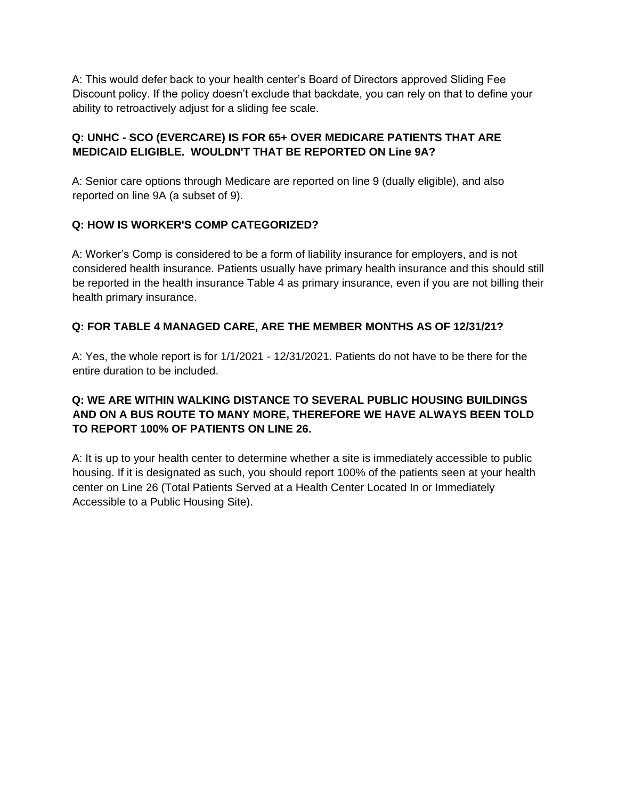A: This would defer back to your health center's Board of Directors approved Sliding Fee Discount policy. If the policy doesn't exclude that backdate, you can rely on that to define your ability to retroactively adjust for a sliding fee scale.

### **Q: UNHC - SCO (EVERCARE) IS FOR 65+ OVER MEDICARE PATIENTS THAT ARE MEDICAID ELIGIBLE. WOULDN'T THAT BE REPORTED ON Line 9A?**

A: Senior care options through Medicare are reported on line 9 (dually eligible), and also reported on line 9A (a subset of 9).

#### **Q: HOW IS WORKER'S COMP CATEGORIZED?**

A: Worker's Comp is considered to be a form of liability insurance for employers, and is not considered health insurance. Patients usually have primary health insurance and this should still be reported in the health insurance Table 4 as primary insurance, even if you are not billing their health primary insurance.

### **Q: FOR TABLE 4 MANAGED CARE, ARE THE MEMBER MONTHS AS OF 12/31/21?**

A: Yes, the whole report is for 1/1/2021 - 12/31/2021. Patients do not have to be there for the entire duration to be included.

#### **Q: WE ARE WITHIN WALKING DISTANCE TO SEVERAL PUBLIC HOUSING BUILDINGS AND ON A BUS ROUTE TO MANY MORE, THEREFORE WE HAVE ALWAYS BEEN TOLD TO REPORT 100% OF PATIENTS ON LINE 26.**

A: It is up to your health center to determine whether a site is immediately accessible to public housing. If it is designated as such, you should report 100% of the patients seen at your health center on Line 26 (Total Patients Served at a Health Center Located In or Immediately Accessible to a Public Housing Site).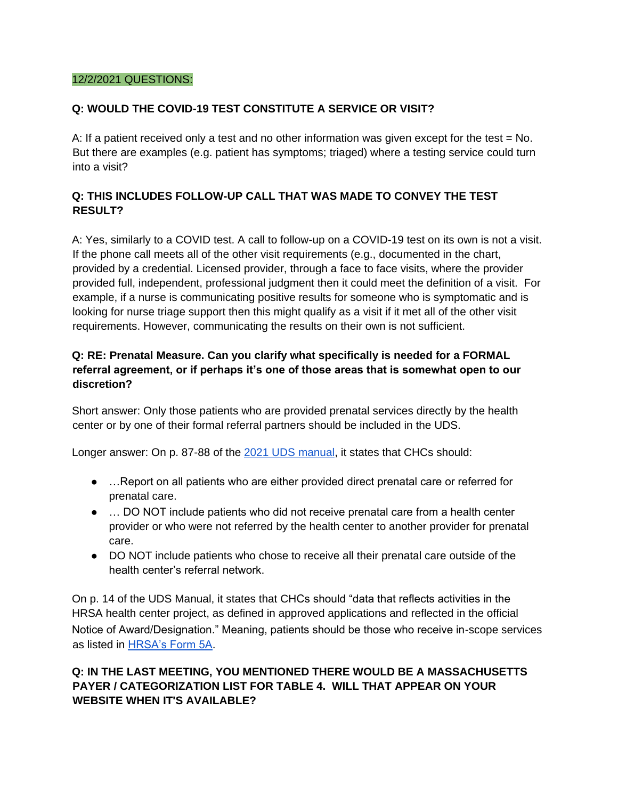#### 12/2/2021 QUESTIONS:

#### **Q: WOULD THE COVID-19 TEST CONSTITUTE A SERVICE OR VISIT?**

A: If a patient received only a test and no other information was given except for the test  $=$  No. But there are examples (e.g. patient has symptoms; triaged) where a testing service could turn into a visit?

### **Q: THIS INCLUDES FOLLOW-UP CALL THAT WAS MADE TO CONVEY THE TEST RESULT?**

A: Yes, similarly to a COVID test. A call to follow-up on a COVID-19 test on its own is not a visit. If the phone call meets all of the other visit requirements (e.g., documented in the chart, provided by a credential. Licensed provider, through a face to face visits, where the provider provided full, independent, professional judgment then it could meet the definition of a visit. For example, if a nurse is communicating positive results for someone who is symptomatic and is looking for nurse triage support then this might qualify as a visit if it met all of the other visit requirements. However, communicating the results on their own is not sufficient.

#### **Q: RE: Prenatal Measure. Can you clarify what specifically is needed for a FORMAL referral agreement, or if perhaps it's one of those areas that is somewhat open to our discretion?**

Short answer: Only those patients who are provided prenatal services directly by the health center or by one of their formal referral partners should be included in the UDS.

Longer answer: On p. 87-88 of the [2021 UDS manual,](https://bphc.hrsa.gov/sites/default/files/bphc/datareporting/pdf/2021-uds-manual.pdf) it states that CHCs should:

- …Report on all patients who are either provided direct prenatal care or referred for prenatal care.
- … DO NOT include patients who did not receive prenatal care from a health center provider or who were not referred by the health center to another provider for prenatal care.
- DO NOT include patients who chose to receive all their prenatal care outside of the health center's referral network.

On p. 14 of the UDS Manual, it states that CHCs should "data that reflects activities in the HRSA health center project, as defined in approved applications and reflected in the official Notice of Award/Designation." Meaning, patients should be those who receive in-scope services as listed in [HRSA's Form 5A.](https://bphc.hrsa.gov/sites/default/files/bphc/programopportunities/fundingopportunities/sac/form5a.pdf)

### **Q: IN THE LAST MEETING, YOU MENTIONED THERE WOULD BE A MASSACHUSETTS PAYER / CATEGORIZATION LIST FOR TABLE 4. WILL THAT APPEAR ON YOUR WEBSITE WHEN IT'S AVAILABLE?**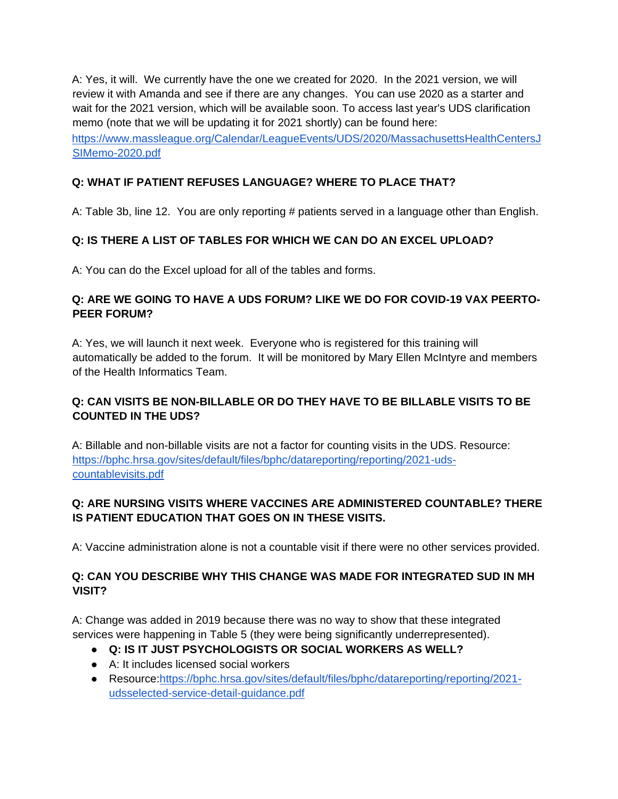A: Yes, it will. We currently have the one we created for 2020. In the 2021 version, we will review it with Amanda and see if there are any changes. You can use 2020 as a starter and wait for the 2021 version, which will be available soon. To access last year's UDS clarification memo (note that we will be updating it for 2021 shortly) can be found here: [https://www.massleague.org/Calendar/LeagueEvents/UDS/2020/MassachusettsHealthCentersJ](https://www.massleague.org/Calendar/LeagueEvents/UDS/2020/MassachusettsHealthCentersJSIMemo-2020.pdf)  [SIMemo-2020.pdf](https://www.massleague.org/Calendar/LeagueEvents/UDS/2020/MassachusettsHealthCentersJSIMemo-2020.pdf)

### **Q: WHAT IF PATIENT REFUSES LANGUAGE? WHERE TO PLACE THAT?**

A: Table 3b, line 12. You are only reporting # patients served in a language other than English.

#### **Q: IS THERE A LIST OF TABLES FOR WHICH WE CAN DO AN EXCEL UPLOAD?**

A: You can do the Excel upload for all of the tables and forms.

#### **Q: ARE WE GOING TO HAVE A UDS FORUM? LIKE WE DO FOR COVID-19 VAX PEERTO-PEER FORUM?**

A: Yes, we will launch it next week. Everyone who is registered for this training will automatically be added to the forum. It will be monitored by Mary Ellen McIntyre and members of the Health Informatics Team.

### **Q: CAN VISITS BE NON-BILLABLE OR DO THEY HAVE TO BE BILLABLE VISITS TO BE COUNTED IN THE UDS?**

A: Billable and non-billable visits are not a factor for counting visits in the UDS. Resource: [https://bphc.hrsa.gov/sites/default/files/bphc/datareporting/reporting/2021-uds](https://bphc.hrsa.gov/sites/default/files/bphc/datareporting/reporting/2021-uds-countable-visits.pdf)[countablevisits.pdf](https://bphc.hrsa.gov/sites/default/files/bphc/datareporting/reporting/2021-uds-countable-visits.pdf)

#### **Q: ARE NURSING VISITS WHERE VACCINES ARE ADMINISTERED COUNTABLE? THERE IS PATIENT EDUCATION THAT GOES ON IN THESE VISITS.**

A: Vaccine administration alone is not a countable visit if there were no other services provided.

#### **Q: CAN YOU DESCRIBE WHY THIS CHANGE WAS MADE FOR INTEGRATED SUD IN MH VISIT?**

A: Change was added in 2019 because there was no way to show that these integrated services were happening in Table 5 (they were being significantly underrepresented).

- **Q: IS IT JUST PSYCHOLOGISTS OR SOCIAL WORKERS AS WELL?**
- A: It includes licensed social workers
- Resource[:https://bphc.hrsa.gov/sites/default/files/bphc/datareporting/reporting/2021](https://bphc.hrsa.gov/sites/default/files/bphc/datareporting/reporting/2021-uds-selected-service-detail-guidance.pdf) [udsselected-service-detail-guidance.pdf](https://bphc.hrsa.gov/sites/default/files/bphc/datareporting/reporting/2021-uds-selected-service-detail-guidance.pdf)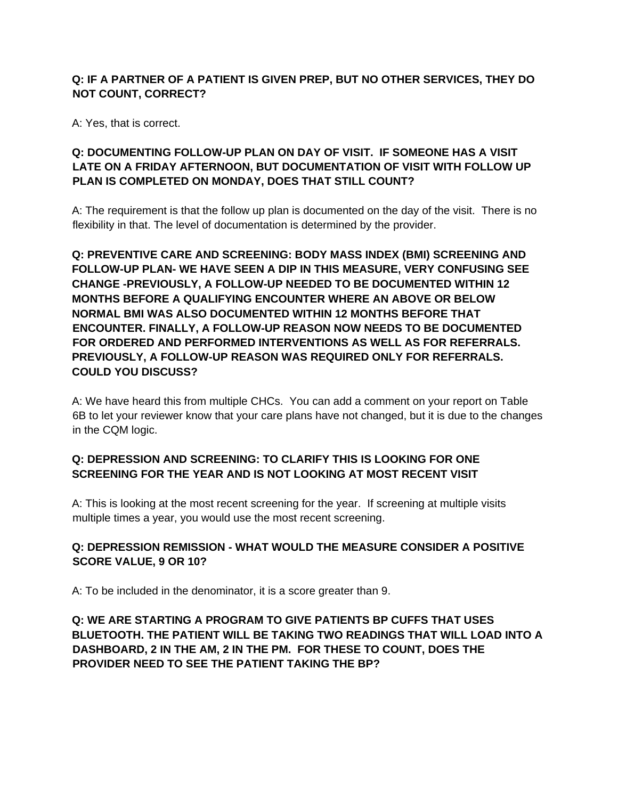### **Q: IF A PARTNER OF A PATIENT IS GIVEN PREP, BUT NO OTHER SERVICES, THEY DO NOT COUNT, CORRECT?**

A: Yes, that is correct.

### **Q: DOCUMENTING FOLLOW-UP PLAN ON DAY OF VISIT. IF SOMEONE HAS A VISIT LATE ON A FRIDAY AFTERNOON, BUT DOCUMENTATION OF VISIT WITH FOLLOW UP PLAN IS COMPLETED ON MONDAY, DOES THAT STILL COUNT?**

A: The requirement is that the follow up plan is documented on the day of the visit. There is no flexibility in that. The level of documentation is determined by the provider.

**Q: PREVENTIVE CARE AND SCREENING: BODY MASS INDEX (BMI) SCREENING AND FOLLOW-UP PLAN- WE HAVE SEEN A DIP IN THIS MEASURE, VERY CONFUSING SEE CHANGE -PREVIOUSLY, A FOLLOW-UP NEEDED TO BE DOCUMENTED WITHIN 12 MONTHS BEFORE A QUALIFYING ENCOUNTER WHERE AN ABOVE OR BELOW NORMAL BMI WAS ALSO DOCUMENTED WITHIN 12 MONTHS BEFORE THAT ENCOUNTER. FINALLY, A FOLLOW-UP REASON NOW NEEDS TO BE DOCUMENTED FOR ORDERED AND PERFORMED INTERVENTIONS AS WELL AS FOR REFERRALS. PREVIOUSLY, A FOLLOW-UP REASON WAS REQUIRED ONLY FOR REFERRALS. COULD YOU DISCUSS?** 

A: We have heard this from multiple CHCs. You can add a comment on your report on Table 6B to let your reviewer know that your care plans have not changed, but it is due to the changes in the CQM logic.

### **Q: DEPRESSION AND SCREENING: TO CLARIFY THIS IS LOOKING FOR ONE SCREENING FOR THE YEAR AND IS NOT LOOKING AT MOST RECENT VISIT**

A: This is looking at the most recent screening for the year. If screening at multiple visits multiple times a year, you would use the most recent screening.

### **Q: DEPRESSION REMISSION - WHAT WOULD THE MEASURE CONSIDER A POSITIVE SCORE VALUE, 9 OR 10?**

A: To be included in the denominator, it is a score greater than 9.

**Q: WE ARE STARTING A PROGRAM TO GIVE PATIENTS BP CUFFS THAT USES BLUETOOTH. THE PATIENT WILL BE TAKING TWO READINGS THAT WILL LOAD INTO A DASHBOARD, 2 IN THE AM, 2 IN THE PM. FOR THESE TO COUNT, DOES THE PROVIDER NEED TO SEE THE PATIENT TAKING THE BP?**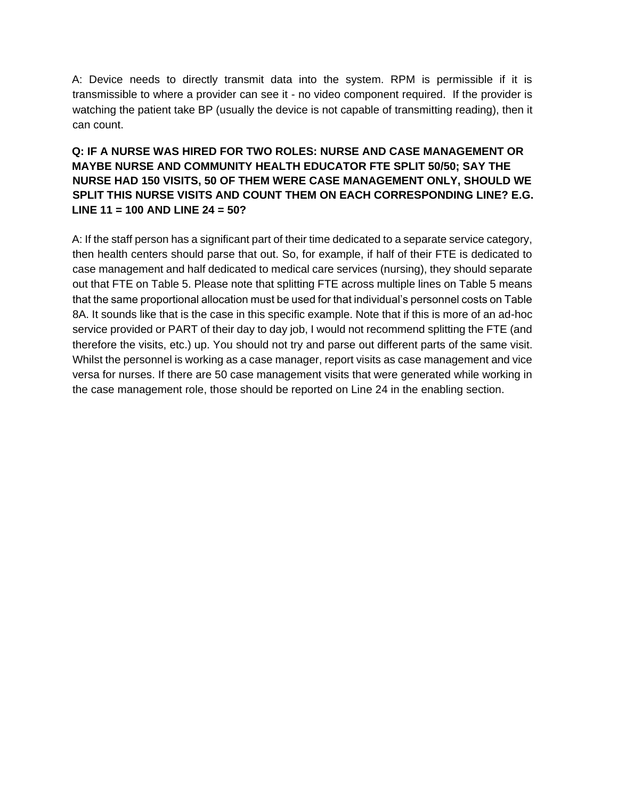A: Device needs to directly transmit data into the system. RPM is permissible if it is transmissible to where a provider can see it - no video component required. If the provider is watching the patient take BP (usually the device is not capable of transmitting reading), then it can count.

### **Q: IF A NURSE WAS HIRED FOR TWO ROLES: NURSE AND CASE MANAGEMENT OR MAYBE NURSE AND COMMUNITY HEALTH EDUCATOR FTE SPLIT 50/50; SAY THE NURSE HAD 150 VISITS, 50 OF THEM WERE CASE MANAGEMENT ONLY, SHOULD WE SPLIT THIS NURSE VISITS AND COUNT THEM ON EACH CORRESPONDING LINE? E.G. LINE 11 = 100 AND LINE 24 = 50?**

A: If the staff person has a significant part of their time dedicated to a separate service category, then health centers should parse that out. So, for example, if half of their FTE is dedicated to case management and half dedicated to medical care services (nursing), they should separate out that FTE on Table 5. Please note that splitting FTE across multiple lines on Table 5 means that the same proportional allocation must be used for that individual's personnel costs on Table 8A. It sounds like that is the case in this specific example. Note that if this is more of an ad-hoc service provided or PART of their day to day job, I would not recommend splitting the FTE (and therefore the visits, etc.) up. You should not try and parse out different parts of the same visit. Whilst the personnel is working as a case manager, report visits as case management and vice versa for nurses. If there are 50 case management visits that were generated while working in the case management role, those should be reported on Line 24 in the enabling section.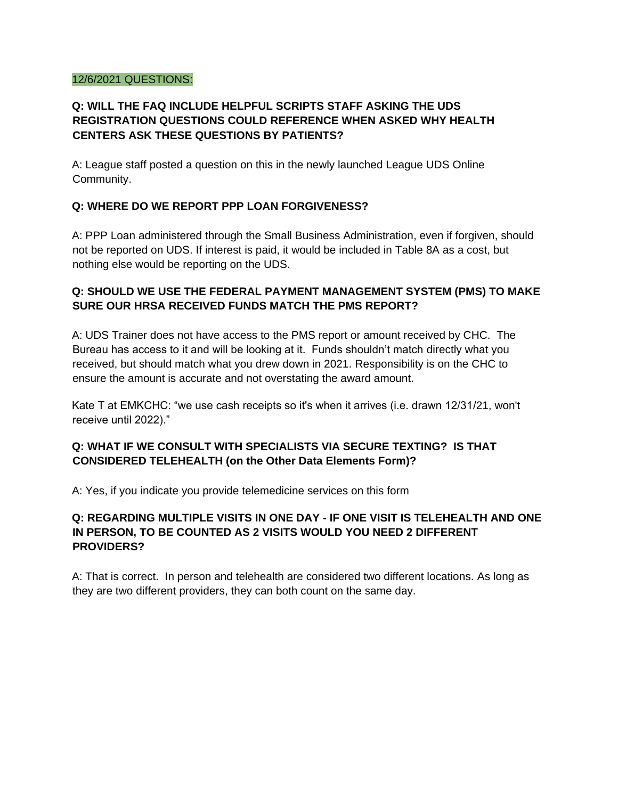#### 12/6/2021 QUESTIONS:

### **Q: WILL THE FAQ INCLUDE HELPFUL SCRIPTS STAFF ASKING THE UDS REGISTRATION QUESTIONS COULD REFERENCE WHEN ASKED WHY HEALTH CENTERS ASK THESE QUESTIONS BY PATIENTS?**

A: League staff posted a question on this in the newly launched League UDS Online Community.

#### **Q: WHERE DO WE REPORT PPP LOAN FORGIVENESS?**

A: PPP Loan administered through the Small Business Administration, even if forgiven, should not be reported on UDS. If interest is paid, it would be included in Table 8A as a cost, but nothing else would be reporting on the UDS.

#### **Q: SHOULD WE USE THE FEDERAL PAYMENT MANAGEMENT SYSTEM (PMS) TO MAKE SURE OUR HRSA RECEIVED FUNDS MATCH THE PMS REPORT?**

A: UDS Trainer does not have access to the PMS report or amount received by CHC. The Bureau has access to it and will be looking at it. Funds shouldn't match directly what you received, but should match what you drew down in 2021. Responsibility is on the CHC to ensure the amount is accurate and not overstating the award amount.

Kate T at EMKCHC: "we use cash receipts so it's when it arrives (i.e. drawn 12/31/21, won't receive until 2022)."

### **Q: WHAT IF WE CONSULT WITH SPECIALISTS VIA SECURE TEXTING? IS THAT CONSIDERED TELEHEALTH (on the Other Data Elements Form)?**

A: Yes, if you indicate you provide telemedicine services on this form

#### **Q: REGARDING MULTIPLE VISITS IN ONE DAY - IF ONE VISIT IS TELEHEALTH AND ONE IN PERSON, TO BE COUNTED AS 2 VISITS WOULD YOU NEED 2 DIFFERENT PROVIDERS?**

A: That is correct. In person and telehealth are considered two different locations. As long as they are two different providers, they can both count on the same day.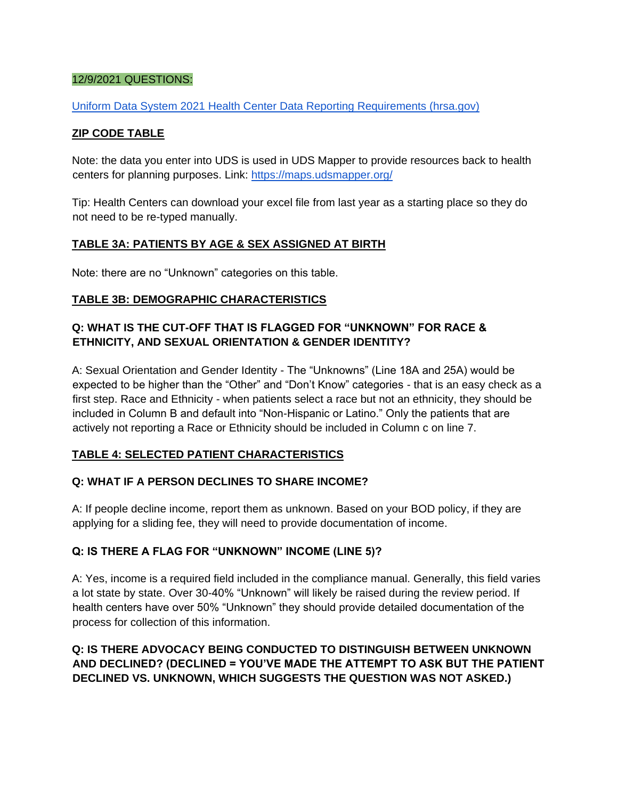#### 12/9/2021 QUESTIONS:

[Uniform Data System 2021 Health Center Data Reporting Requirements \(hrsa.gov\)](https://bphc.hrsa.gov/sites/default/files/bphc/datareporting/pdf/2021-uds-manual-tables.pdf)

#### **ZIP CODE TABLE**

Note: the data you enter into UDS is used in UDS Mapper to provide resources back to health centers for planning purposes. Link:<https://maps.udsmapper.org/>

Tip: Health Centers can download your excel file from last year as a starting place so they do not need to be re-typed manually.

#### **TABLE 3A: PATIENTS BY AGE & SEX ASSIGNED AT BIRTH**

Note: there are no "Unknown" categories on this table.

#### **TABLE 3B: DEMOGRAPHIC CHARACTERISTICS**

#### **Q: WHAT IS THE CUT-OFF THAT IS FLAGGED FOR "UNKNOWN" FOR RACE & ETHNICITY, AND SEXUAL ORIENTATION & GENDER IDENTITY?**

A: Sexual Orientation and Gender Identity - The "Unknowns" (Line 18A and 25A) would be expected to be higher than the "Other" and "Don't Know" categories - that is an easy check as a first step. Race and Ethnicity - when patients select a race but not an ethnicity, they should be included in Column B and default into "Non-Hispanic or Latino." Only the patients that are actively not reporting a Race or Ethnicity should be included in Column c on line 7.

#### **TABLE 4: SELECTED PATIENT CHARACTERISTICS**

#### **Q: WHAT IF A PERSON DECLINES TO SHARE INCOME?**

A: If people decline income, report them as unknown. Based on your BOD policy, if they are applying for a sliding fee, they will need to provide documentation of income.

#### **Q: IS THERE A FLAG FOR "UNKNOWN" INCOME (LINE 5)?**

A: Yes, income is a required field included in the compliance manual. Generally, this field varies a lot state by state. Over 30-40% "Unknown" will likely be raised during the review period. If health centers have over 50% "Unknown" they should provide detailed documentation of the process for collection of this information.

#### **Q: IS THERE ADVOCACY BEING CONDUCTED TO DISTINGUISH BETWEEN UNKNOWN AND DECLINED? (DECLINED = YOU'VE MADE THE ATTEMPT TO ASK BUT THE PATIENT DECLINED VS. UNKNOWN, WHICH SUGGESTS THE QUESTION WAS NOT ASKED.)**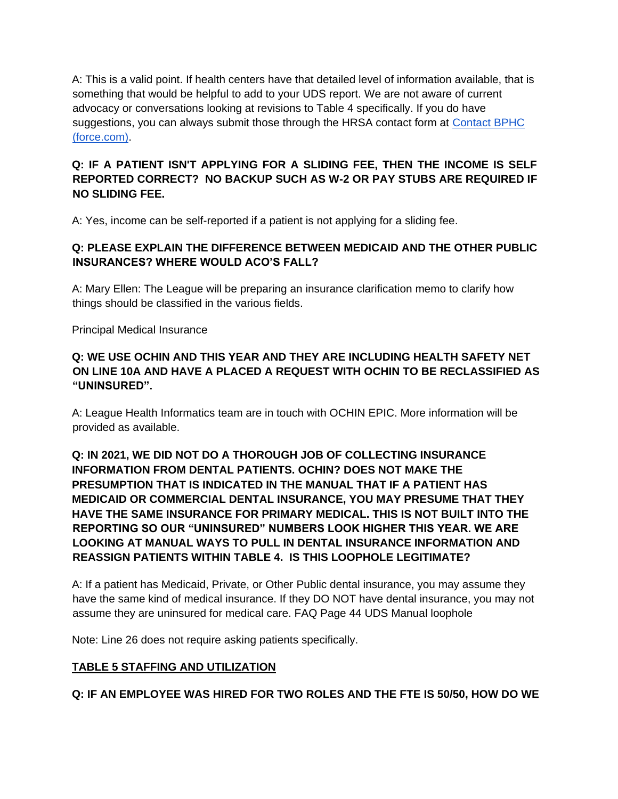A: This is a valid point. If health centers have that detailed level of information available, that is something that would be helpful to add to your UDS report. We are not aware of current advocacy or conversations looking at revisions to Table 4 specifically. If you do have suggestions, you can always submit those through the HRSA contact form at [Contact BPHC](https://bphccommunications.secure.force.com/ContactBPHC/BPHC_Contact_Form) [\(force.com\).](https://bphccommunications.secure.force.com/ContactBPHC/BPHC_Contact_Form) 

### **Q: IF A PATIENT ISN'T APPLYING FOR A SLIDING FEE, THEN THE INCOME IS SELF REPORTED CORRECT? NO BACKUP SUCH AS W-2 OR PAY STUBS ARE REQUIRED IF NO SLIDING FEE.**

A: Yes, income can be self-reported if a patient is not applying for a sliding fee.

### **Q: PLEASE EXPLAIN THE DIFFERENCE BETWEEN MEDICAID AND THE OTHER PUBLIC INSURANCES? WHERE WOULD ACO'S FALL?**

A: Mary Ellen: The League will be preparing an insurance clarification memo to clarify how things should be classified in the various fields.

Principal Medical Insurance

#### **Q: WE USE OCHIN AND THIS YEAR AND THEY ARE INCLUDING HEALTH SAFETY NET ON LINE 10A AND HAVE A PLACED A REQUEST WITH OCHIN TO BE RECLASSIFIED AS "UNINSURED".**

A: League Health Informatics team are in touch with OCHIN EPIC. More information will be provided as available.

### **Q: IN 2021, WE DID NOT DO A THOROUGH JOB OF COLLECTING INSURANCE INFORMATION FROM DENTAL PATIENTS. OCHIN? DOES NOT MAKE THE PRESUMPTION THAT IS INDICATED IN THE MANUAL THAT IF A PATIENT HAS MEDICAID OR COMMERCIAL DENTAL INSURANCE, YOU MAY PRESUME THAT THEY HAVE THE SAME INSURANCE FOR PRIMARY MEDICAL. THIS IS NOT BUILT INTO THE REPORTING SO OUR "UNINSURED" NUMBERS LOOK HIGHER THIS YEAR. WE ARE LOOKING AT MANUAL WAYS TO PULL IN DENTAL INSURANCE INFORMATION AND REASSIGN PATIENTS WITHIN TABLE 4. IS THIS LOOPHOLE LEGITIMATE?**

A: If a patient has Medicaid, Private, or Other Public dental insurance, you may assume they have the same kind of medical insurance. If they DO NOT have dental insurance, you may not assume they are uninsured for medical care. FAQ Page 44 UDS Manual loophole

Note: Line 26 does not require asking patients specifically.

#### **TABLE 5 STAFFING AND UTILIZATION**

**Q: IF AN EMPLOYEE WAS HIRED FOR TWO ROLES AND THE FTE IS 50/50, HOW DO WE**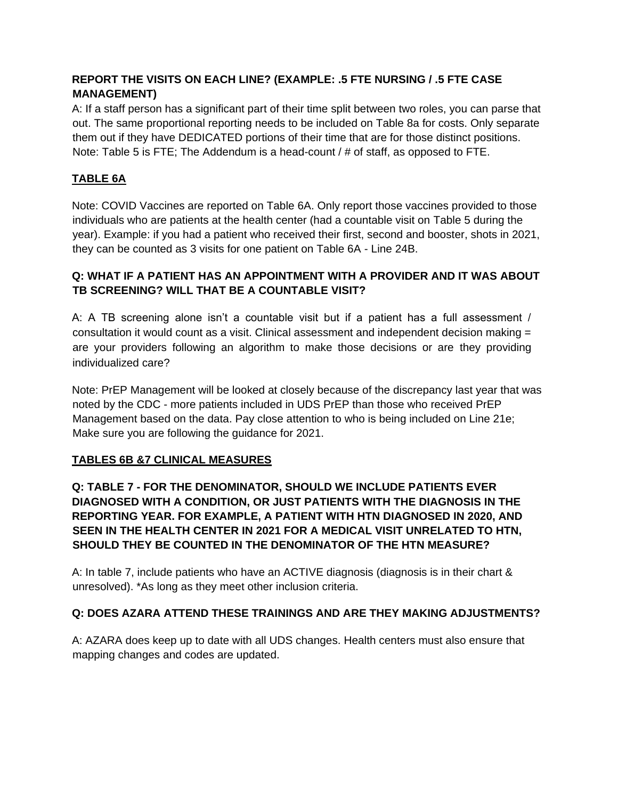### **REPORT THE VISITS ON EACH LINE? (EXAMPLE: .5 FTE NURSING / .5 FTE CASE MANAGEMENT)**

A: If a staff person has a significant part of their time split between two roles, you can parse that out. The same proportional reporting needs to be included on Table 8a for costs. Only separate them out if they have DEDICATED portions of their time that are for those distinct positions. Note: Table 5 is FTE; The Addendum is a head-count / # of staff, as opposed to FTE.

### **TABLE 6A**

Note: COVID Vaccines are reported on Table 6A. Only report those vaccines provided to those individuals who are patients at the health center (had a countable visit on Table 5 during the year). Example: if you had a patient who received their first, second and booster, shots in 2021, they can be counted as 3 visits for one patient on Table 6A - Line 24B.

### **Q: WHAT IF A PATIENT HAS AN APPOINTMENT WITH A PROVIDER AND IT WAS ABOUT TB SCREENING? WILL THAT BE A COUNTABLE VISIT?**

A: A TB screening alone isn't a countable visit but if a patient has a full assessment / consultation it would count as a visit. Clinical assessment and independent decision making = are your providers following an algorithm to make those decisions or are they providing individualized care?

Note: PrEP Management will be looked at closely because of the discrepancy last year that was noted by the CDC - more patients included in UDS PrEP than those who received PrEP Management based on the data. Pay close attention to who is being included on Line 21e; Make sure you are following the guidance for 2021.

### **TABLES 6B &7 CLINICAL MEASURES**

**Q: TABLE 7 - FOR THE DENOMINATOR, SHOULD WE INCLUDE PATIENTS EVER DIAGNOSED WITH A CONDITION, OR JUST PATIENTS WITH THE DIAGNOSIS IN THE REPORTING YEAR. FOR EXAMPLE, A PATIENT WITH HTN DIAGNOSED IN 2020, AND SEEN IN THE HEALTH CENTER IN 2021 FOR A MEDICAL VISIT UNRELATED TO HTN, SHOULD THEY BE COUNTED IN THE DENOMINATOR OF THE HTN MEASURE?** 

A: In table 7, include patients who have an ACTIVE diagnosis (diagnosis is in their chart & unresolved). \*As long as they meet other inclusion criteria.

### **Q: DOES AZARA ATTEND THESE TRAININGS AND ARE THEY MAKING ADJUSTMENTS?**

A: AZARA does keep up to date with all UDS changes. Health centers must also ensure that mapping changes and codes are updated.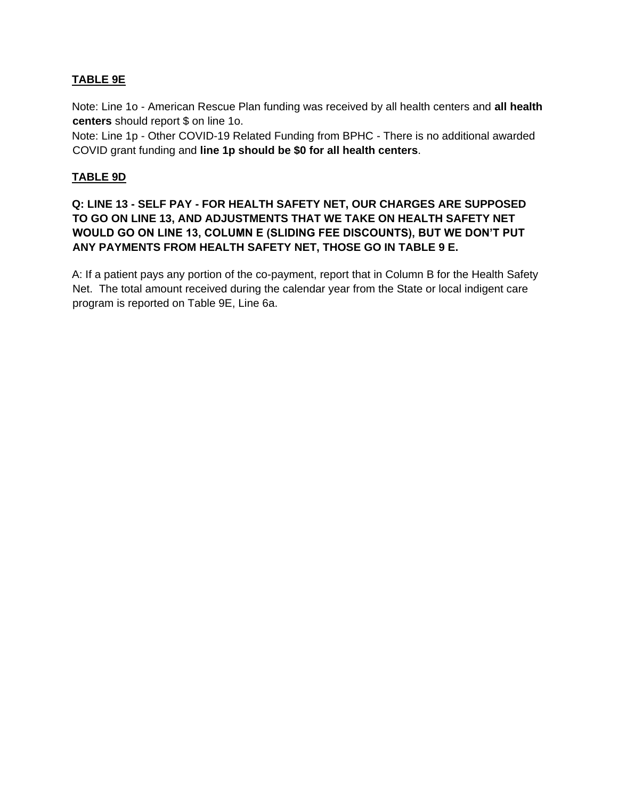### **TABLE 9E**

Note: Line 1o - American Rescue Plan funding was received by all health centers and **all health centers** should report \$ on line 1o.

Note: Line 1p - Other COVID-19 Related Funding from BPHC - There is no additional awarded COVID grant funding and **line 1p should be \$0 for all health centers**.

#### **TABLE 9D**

### **Q: LINE 13 - SELF PAY - FOR HEALTH SAFETY NET, OUR CHARGES ARE SUPPOSED TO GO ON LINE 13, AND ADJUSTMENTS THAT WE TAKE ON HEALTH SAFETY NET WOULD GO ON LINE 13, COLUMN E (SLIDING FEE DISCOUNTS), BUT WE DON'T PUT ANY PAYMENTS FROM HEALTH SAFETY NET, THOSE GO IN TABLE 9 E.**

A: If a patient pays any portion of the co-payment, report that in Column B for the Health Safety Net. The total amount received during the calendar year from the State or local indigent care program is reported on Table 9E, Line 6a.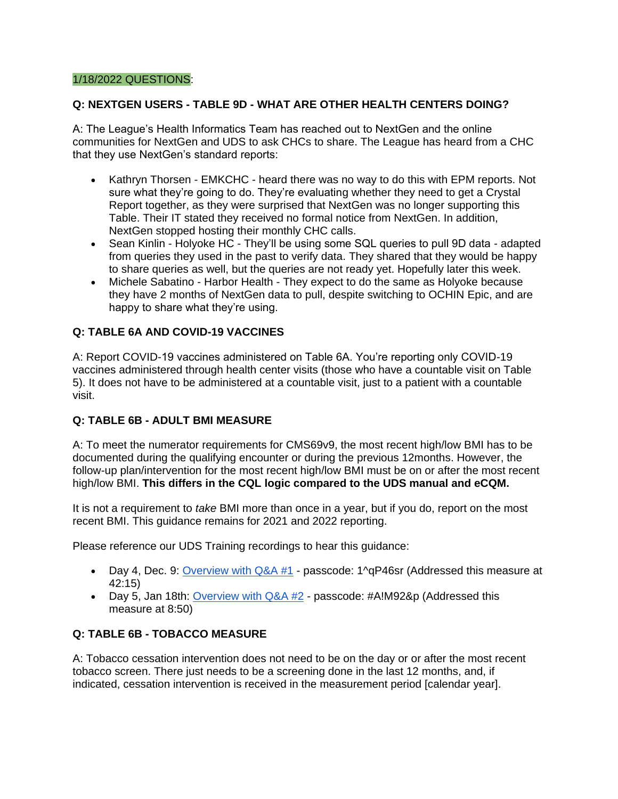#### 1/18/2022 QUESTIONS:

#### **Q: NEXTGEN USERS - TABLE 9D - WHAT ARE OTHER HEALTH CENTERS DOING?**

A: The League's Health Informatics Team has reached out to NextGen and the online communities for NextGen and UDS to ask CHCs to share. The League has heard from a CHC that they use NextGen's standard reports:

- Kathryn Thorsen EMKCHC heard there was no way to do this with EPM reports. Not sure what they're going to do. They're evaluating whether they need to get a Crystal Report together, as they were surprised that NextGen was no longer supporting this Table. Their IT stated they received no formal notice from NextGen. In addition, NextGen stopped hosting their monthly CHC calls.
- Sean Kinlin Holyoke HC They'll be using some SQL queries to pull 9D data adapted from queries they used in the past to verify data. They shared that they would be happy to share queries as well, but the queries are not ready yet. Hopefully later this week.
- Michele Sabatino Harbor Health They expect to do the same as Holyoke because they have 2 months of NextGen data to pull, despite switching to OCHIN Epic, and are happy to share what they're using.

#### **Q: TABLE 6A AND COVID-19 VACCINES**

A: Report COVID-19 vaccines administered on Table 6A. You're reporting only COVID-19 vaccines administered through health center visits (those who have a countable visit on Table 5). It does not have to be administered at a countable visit, just to a patient with a countable visit.

#### **Q: TABLE 6B - ADULT BMI MEASURE**

A: To meet the numerator requirements for CMS69v9, the most recent high/low BMI has to be documented during the qualifying encounter or during the previous 12months. However, the follow-up plan/intervention for the most recent high/low BMI must be on or after the most recent high/low BMI. **This differs in the CQL logic compared to the UDS manual and eCQM.**

It is not a requirement to *take* BMI more than once in a year, but if you do, report on the most recent BMI. This guidance remains for 2021 and 2022 reporting.

Please reference our UDS Training recordings to hear this guidance:

- Day 4, Dec. 9: Overview with  $Q&A#1$  passcode:  $1^qQ^246sr$  (Addressed this measure at 42:15)
- Day 5, Jan 18th: [Overview with Q&A #2](https://massleague.zoom.us/rec/play/GNKkoZwT8wdwdlBgFFYptcxXlh8AMzRvtMde5_2qJHljfqUwhA31p2ko5kMT5CD_y_tdb0x-xMv5mniD.G3zS-gy972H81oS9?continueMode=true&_x_zm_rtaid=C9eEGhYtQCSnzVTBgQVI6Q.1643304400637.aa7eacea153959a9951ff7ced279585a&_x_zm_rhtaid=681) passcode: #A!M92&p (Addressed this measure at 8:50)

#### **Q: TABLE 6B - TOBACCO MEASURE**

A: Tobacco cessation intervention does not need to be on the day or or after the most recent tobacco screen. There just needs to be a screening done in the last 12 months, and, if indicated, cessation intervention is received in the measurement period [calendar year].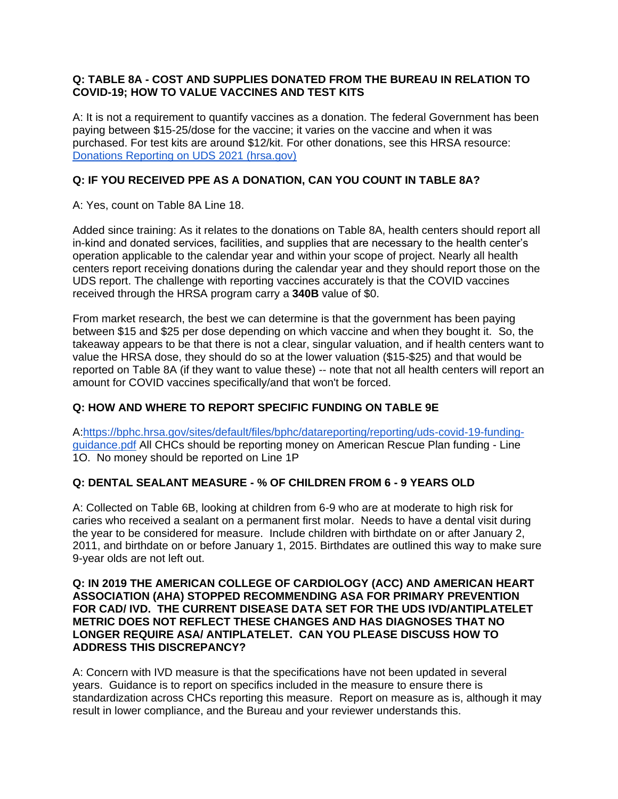#### **Q: TABLE 8A - COST AND SUPPLIES DONATED FROM THE BUREAU IN RELATION TO COVID-19; HOW TO VALUE VACCINES AND TEST KITS**

A: It is not a requirement to quantify vaccines as a donation. The federal Government has been paying between \$15-25/dose for the vaccine; it varies on the vaccine and when it was purchased. For test kits are around \$12/kit. For other donations, see this HRSA resource: [Donations Reporting on UDS 2021 \(hrsa.gov\)](https://bphc.hrsa.gov/sites/default/files/bphc/datareporting/reporting/2021-donations-reporting-uds.pdf)

### **Q: IF YOU RECEIVED PPE AS A DONATION, CAN YOU COUNT IN TABLE 8A?**

A: Yes, count on Table 8A Line 18.

Added since training: As it relates to the donations on Table 8A, health centers should report all in-kind and donated services, facilities, and supplies that are necessary to the health center's operation applicable to the calendar year and within your scope of project. Nearly all health centers report receiving donations during the calendar year and they should report those on the UDS report. The challenge with reporting vaccines accurately is that the COVID vaccines received through the HRSA program carry a **340B** value of \$0.

From market research, the best we can determine is that the government has been paying between \$15 and \$25 per dose depending on which vaccine and when they bought it. So, the takeaway appears to be that there is not a clear, singular valuation, and if health centers want to value the HRSA dose, they should do so at the lower valuation (\$15-\$25) and that would be reported on Table 8A (if they want to value these) -- note that not all health centers will report an amount for COVID vaccines specifically/and that won't be forced.

#### **Q: HOW AND WHERE TO REPORT SPECIFIC FUNDING ON TABLE 9E**

A[:https://bphc.hrsa.gov/sites/default/files/bphc/datareporting/reporting/uds-covid-19-funding](https://bphc.hrsa.gov/sites/default/files/bphc/datareporting/reporting/uds-covid-19-funding-guidance.pdf)[guidance.pdf](https://bphc.hrsa.gov/sites/default/files/bphc/datareporting/reporting/uds-covid-19-funding-guidance.pdf) All CHCs should be reporting money on American Rescue Plan funding - Line 1O. No money should be reported on Line 1P

#### **Q: DENTAL SEALANT MEASURE - % OF CHILDREN FROM 6 - 9 YEARS OLD**

A: Collected on Table 6B, looking at children from 6-9 who are at moderate to high risk for caries who received a sealant on a permanent first molar. Needs to have a dental visit during the year to be considered for measure. Include children with birthdate on or after January 2, 2011, and birthdate on or before January 1, 2015. Birthdates are outlined this way to make sure 9-year olds are not left out.

#### **Q: IN 2019 THE AMERICAN COLLEGE OF CARDIOLOGY (ACC) AND AMERICAN HEART ASSOCIATION (AHA) STOPPED RECOMMENDING ASA FOR PRIMARY PREVENTION FOR CAD/ IVD. THE CURRENT DISEASE DATA SET FOR THE UDS IVD/ANTIPLATELET METRIC DOES NOT REFLECT THESE CHANGES AND HAS DIAGNOSES THAT NO LONGER REQUIRE ASA/ ANTIPLATELET. CAN YOU PLEASE DISCUSS HOW TO ADDRESS THIS DISCREPANCY?**

A: Concern with IVD measure is that the specifications have not been updated in several years. Guidance is to report on specifics included in the measure to ensure there is standardization across CHCs reporting this measure. Report on measure as is, although it may result in lower compliance, and the Bureau and your reviewer understands this.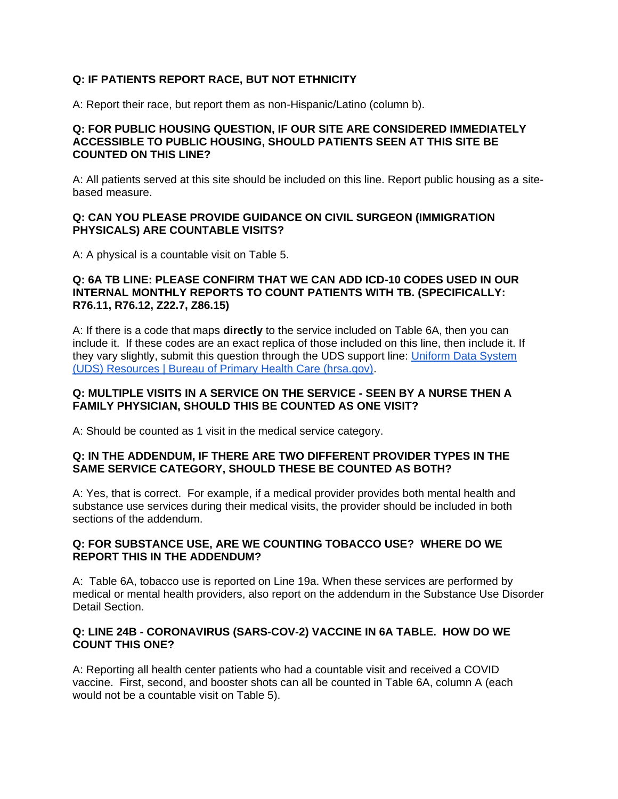#### **Q: IF PATIENTS REPORT RACE, BUT NOT ETHNICITY**

A: Report their race, but report them as non-Hispanic/Latino (column b).

#### **Q: FOR PUBLIC HOUSING QUESTION, IF OUR SITE ARE CONSIDERED IMMEDIATELY ACCESSIBLE TO PUBLIC HOUSING, SHOULD PATIENTS SEEN AT THIS SITE BE COUNTED ON THIS LINE?**

A: All patients served at this site should be included on this line. Report public housing as a sitebased measure.

#### **Q: CAN YOU PLEASE PROVIDE GUIDANCE ON CIVIL SURGEON (IMMIGRATION PHYSICALS) ARE COUNTABLE VISITS?**

A: A physical is a countable visit on Table 5.

#### **Q: 6A TB LINE: PLEASE CONFIRM THAT WE CAN ADD ICD-10 CODES USED IN OUR INTERNAL MONTHLY REPORTS TO COUNT PATIENTS WITH TB. (SPECIFICALLY: R76.11, R76.12, Z22.7, Z86.15)**

A: If there is a code that maps **directly** to the service included on Table 6A, then you can include it. If these codes are an exact replica of those included on this line, then include it. If they vary slightly, submit this question through the UDS support line: [Uniform Data System](https://bphc.hrsa.gov/datareporting/reporting/index.html)  [\(UDS\) Resources | Bureau of Primary Health Care \(hrsa.gov\).](https://bphc.hrsa.gov/datareporting/reporting/index.html)

#### **Q: MULTIPLE VISITS IN A SERVICE ON THE SERVICE - SEEN BY A NURSE THEN A FAMILY PHYSICIAN, SHOULD THIS BE COUNTED AS ONE VISIT?**

A: Should be counted as 1 visit in the medical service category.

#### **Q: IN THE ADDENDUM, IF THERE ARE TWO DIFFERENT PROVIDER TYPES IN THE SAME SERVICE CATEGORY, SHOULD THESE BE COUNTED AS BOTH?**

A: Yes, that is correct. For example, if a medical provider provides both mental health and substance use services during their medical visits, the provider should be included in both sections of the addendum.

#### **Q: FOR SUBSTANCE USE, ARE WE COUNTING TOBACCO USE? WHERE DO WE REPORT THIS IN THE ADDENDUM?**

A: Table 6A, tobacco use is reported on Line 19a. When these services are performed by medical or mental health providers, also report on the addendum in the Substance Use Disorder Detail Section.

#### **Q: LINE 24B - CORONAVIRUS (SARS-COV-2) VACCINE IN 6A TABLE. HOW DO WE COUNT THIS ONE?**

A: Reporting all health center patients who had a countable visit and received a COVID vaccine. First, second, and booster shots can all be counted in Table 6A, column A (each would not be a countable visit on Table 5).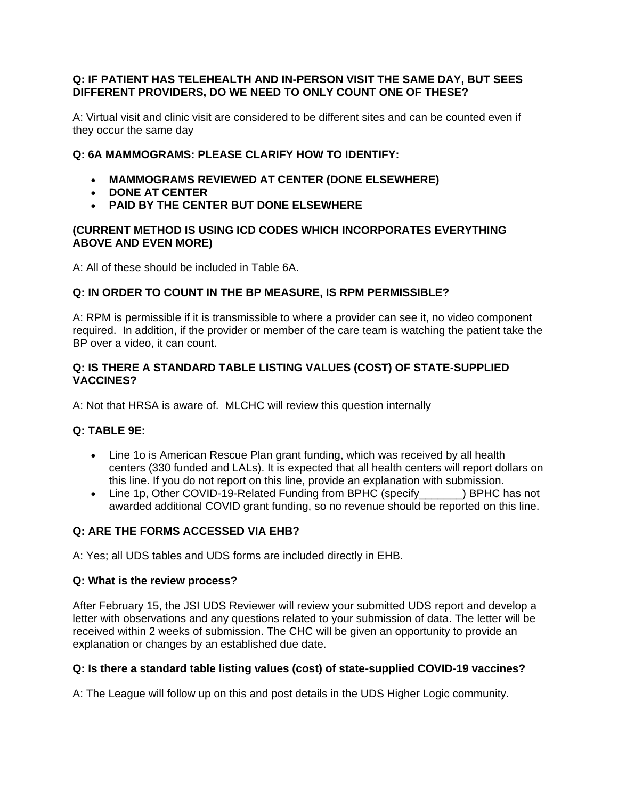#### **Q: IF PATIENT HAS TELEHEALTH AND IN-PERSON VISIT THE SAME DAY, BUT SEES DIFFERENT PROVIDERS, DO WE NEED TO ONLY COUNT ONE OF THESE?**

A: Virtual visit and clinic visit are considered to be different sites and can be counted even if they occur the same day

#### **Q: 6A MAMMOGRAMS: PLEASE CLARIFY HOW TO IDENTIFY:**

- **MAMMOGRAMS REVIEWED AT CENTER (DONE ELSEWHERE)**
- **DONE AT CENTER**
- **PAID BY THE CENTER BUT DONE ELSEWHERE**

#### **(CURRENT METHOD IS USING ICD CODES WHICH INCORPORATES EVERYTHING ABOVE AND EVEN MORE)**

A: All of these should be included in Table 6A.

#### **Q: IN ORDER TO COUNT IN THE BP MEASURE, IS RPM PERMISSIBLE?**

A: RPM is permissible if it is transmissible to where a provider can see it, no video component required. In addition, if the provider or member of the care team is watching the patient take the BP over a video, it can count.

#### **Q: IS THERE A STANDARD TABLE LISTING VALUES (COST) OF STATE-SUPPLIED VACCINES?**

A: Not that HRSA is aware of. MLCHC will review this question internally

#### **Q: TABLE 9E:**

- Line 1o is American Rescue Plan grant funding, which was received by all health centers (330 funded and LALs). It is expected that all health centers will report dollars on this line. If you do not report on this line, provide an explanation with submission.
- Line 1p, Other COVID-19-Related Funding from BPHC (specify ) BPHC has not awarded additional COVID grant funding, so no revenue should be reported on this line.

#### **Q: ARE THE FORMS ACCESSED VIA EHB?**

A: Yes; all UDS tables and UDS forms are included directly in EHB.

#### **Q: What is the review process?**

After February 15, the JSI UDS Reviewer will review your submitted UDS report and develop a letter with observations and any questions related to your submission of data. The letter will be received within 2 weeks of submission. The CHC will be given an opportunity to provide an explanation or changes by an established due date.

#### **Q: Is there a standard table listing values (cost) of state-supplied COVID-19 vaccines?**

A: The League will follow up on this and post details in the UDS Higher Logic community.